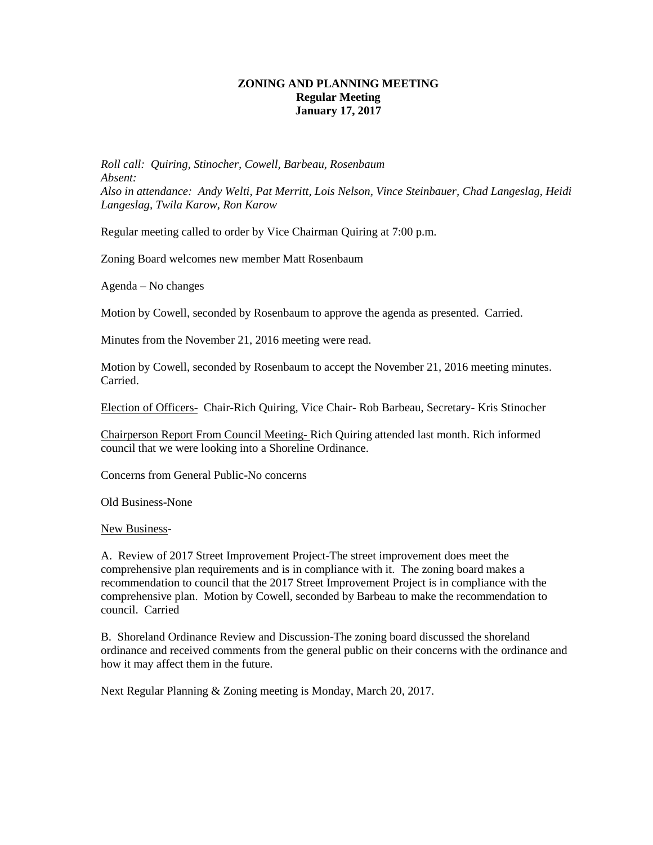### **ZONING AND PLANNING MEETING Regular Meeting January 17, 2017**

*Roll call: Quiring, Stinocher, Cowell, Barbeau, Rosenbaum Absent: Also in attendance: Andy Welti, Pat Merritt, Lois Nelson, Vince Steinbauer, Chad Langeslag, Heidi Langeslag, Twila Karow, Ron Karow*

Regular meeting called to order by Vice Chairman Quiring at 7:00 p.m.

Zoning Board welcomes new member Matt Rosenbaum

Agenda – No changes

Motion by Cowell, seconded by Rosenbaum to approve the agenda as presented. Carried.

Minutes from the November 21, 2016 meeting were read.

Motion by Cowell, seconded by Rosenbaum to accept the November 21, 2016 meeting minutes. Carried.

Election of Officers- Chair-Rich Quiring, Vice Chair- Rob Barbeau, Secretary- Kris Stinocher

Chairperson Report From Council Meeting- Rich Quiring attended last month. Rich informed council that we were looking into a Shoreline Ordinance.

Concerns from General Public-No concerns

Old Business-None

New Business-

A. Review of 2017 Street Improvement Project-The street improvement does meet the comprehensive plan requirements and is in compliance with it. The zoning board makes a recommendation to council that the 2017 Street Improvement Project is in compliance with the comprehensive plan. Motion by Cowell, seconded by Barbeau to make the recommendation to council. Carried

B. Shoreland Ordinance Review and Discussion-The zoning board discussed the shoreland ordinance and received comments from the general public on their concerns with the ordinance and how it may affect them in the future.

Next Regular Planning & Zoning meeting is Monday, March 20, 2017.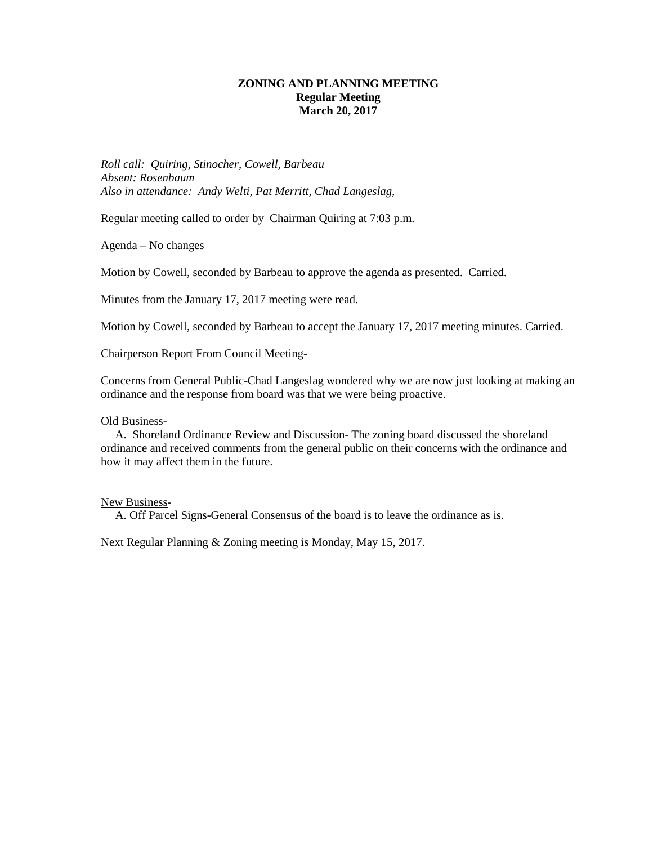#### **ZONING AND PLANNING MEETING Regular Meeting March 20, 2017**

*Roll call: Quiring, Stinocher, Cowell, Barbeau Absent: Rosenbaum Also in attendance: Andy Welti, Pat Merritt, Chad Langeslag,*

Regular meeting called to order by Chairman Quiring at 7:03 p.m.

Agenda – No changes

Motion by Cowell, seconded by Barbeau to approve the agenda as presented. Carried.

Minutes from the January 17, 2017 meeting were read.

Motion by Cowell, seconded by Barbeau to accept the January 17, 2017 meeting minutes. Carried.

#### Chairperson Report From Council Meeting-

Concerns from General Public-Chad Langeslag wondered why we are now just looking at making an ordinance and the response from board was that we were being proactive.

#### Old Business-

A. Shoreland Ordinance Review and Discussion- The zoning board discussed the shoreland ordinance and received comments from the general public on their concerns with the ordinance and how it may affect them in the future.

### New Business-

A. Off Parcel Signs-General Consensus of the board is to leave the ordinance as is.

Next Regular Planning & Zoning meeting is Monday, May 15, 2017.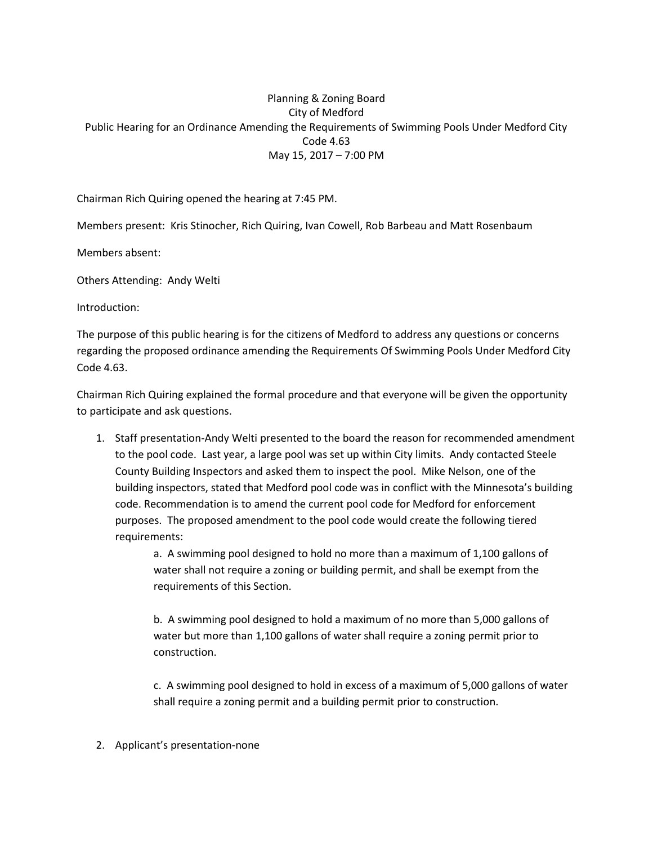# Planning & Zoning Board City of Medford Public Hearing for an Ordinance Amending the Requirements of Swimming Pools Under Medford City Code 4.63 May 15, 2017 – 7:00 PM

Chairman Rich Quiring opened the hearing at 7:45 PM.

Members present: Kris Stinocher, Rich Quiring, Ivan Cowell, Rob Barbeau and Matt Rosenbaum

Members absent:

Others Attending: Andy Welti

Introduction:

The purpose of this public hearing is for the citizens of Medford to address any questions or concerns regarding the proposed ordinance amending the Requirements Of Swimming Pools Under Medford City Code 4.63.

Chairman Rich Quiring explained the formal procedure and that everyone will be given the opportunity to participate and ask questions.

1. Staff presentation-Andy Welti presented to the board the reason for recommended amendment to the pool code. Last year, a large pool was set up within City limits. Andy contacted Steele County Building Inspectors and asked them to inspect the pool. Mike Nelson, one of the building inspectors, stated that Medford pool code was in conflict with the Minnesota's building code. Recommendation is to amend the current pool code for Medford for enforcement purposes. The proposed amendment to the pool code would create the following tiered requirements:

> a. A swimming pool designed to hold no more than a maximum of 1,100 gallons of water shall not require a zoning or building permit, and shall be exempt from the requirements of this Section.

> b. A swimming pool designed to hold a maximum of no more than 5,000 gallons of water but more than 1,100 gallons of water shall require a zoning permit prior to construction.

c. A swimming pool designed to hold in excess of a maximum of 5,000 gallons of water shall require a zoning permit and a building permit prior to construction.

2. Applicant's presentation-none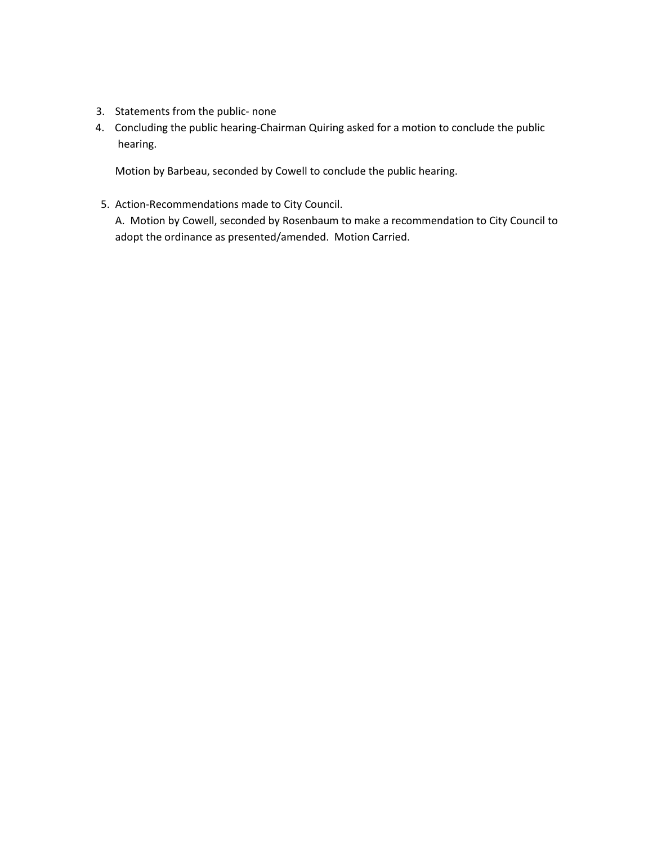- 3. Statements from the public- none
- 4. Concluding the public hearing-Chairman Quiring asked for a motion to conclude the public hearing.

Motion by Barbeau, seconded by Cowell to conclude the public hearing.

5. Action-Recommendations made to City Council.

A. Motion by Cowell, seconded by Rosenbaum to make a recommendation to City Council to adopt the ordinance as presented/amended. Motion Carried.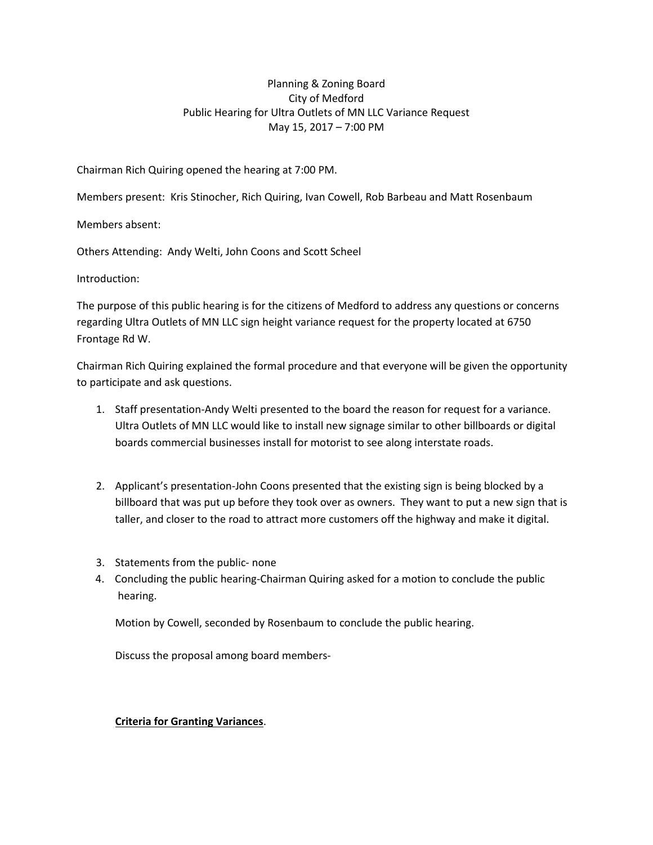# Planning & Zoning Board City of Medford Public Hearing for Ultra Outlets of MN LLC Variance Request May 15, 2017 – 7:00 PM

Chairman Rich Quiring opened the hearing at 7:00 PM.

Members present: Kris Stinocher, Rich Quiring, Ivan Cowell, Rob Barbeau and Matt Rosenbaum

Members absent:

Others Attending: Andy Welti, John Coons and Scott Scheel

Introduction:

The purpose of this public hearing is for the citizens of Medford to address any questions or concerns regarding Ultra Outlets of MN LLC sign height variance request for the property located at 6750 Frontage Rd W.

Chairman Rich Quiring explained the formal procedure and that everyone will be given the opportunity to participate and ask questions.

- 1. Staff presentation-Andy Welti presented to the board the reason for request for a variance. Ultra Outlets of MN LLC would like to install new signage similar to other billboards or digital boards commercial businesses install for motorist to see along interstate roads.
- 2. Applicant's presentation-John Coons presented that the existing sign is being blocked by a billboard that was put up before they took over as owners. They want to put a new sign that is taller, and closer to the road to attract more customers off the highway and make it digital.
- 3. Statements from the public- none
- 4. Concluding the public hearing-Chairman Quiring asked for a motion to conclude the public hearing.

Motion by Cowell, seconded by Rosenbaum to conclude the public hearing.

Discuss the proposal among board members-

### **Criteria for Granting Variances**.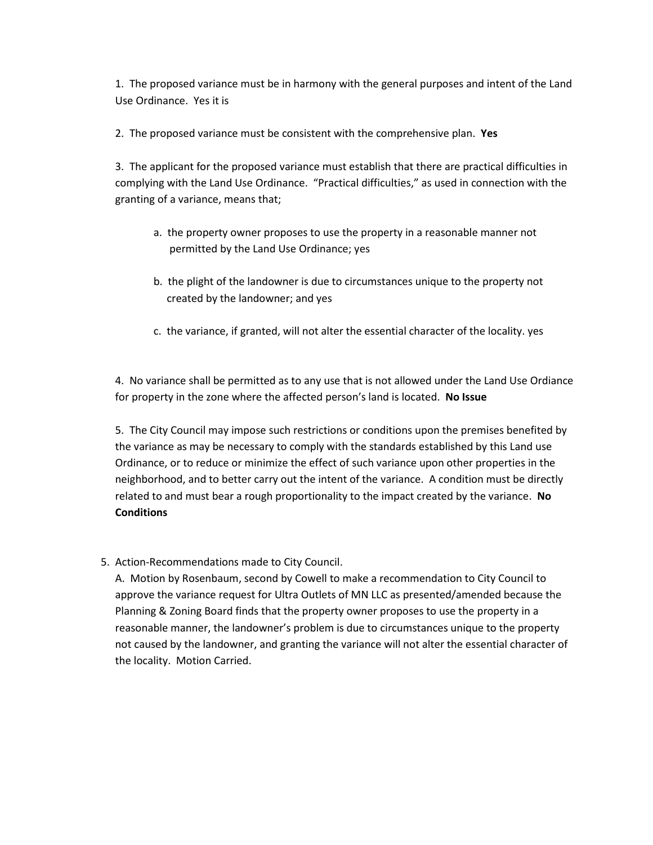1. The proposed variance must be in harmony with the general purposes and intent of the Land Use Ordinance. Yes it is

2. The proposed variance must be consistent with the comprehensive plan. **Yes**

3. The applicant for the proposed variance must establish that there are practical difficulties in complying with the Land Use Ordinance. "Practical difficulties," as used in connection with the granting of a variance, means that;

- a. the property owner proposes to use the property in a reasonable manner not permitted by the Land Use Ordinance; yes
- b. the plight of the landowner is due to circumstances unique to the property not created by the landowner; and yes
- c. the variance, if granted, will not alter the essential character of the locality. yes

4. No variance shall be permitted as to any use that is not allowed under the Land Use Ordiance for property in the zone where the affected person's land is located. **No Issue**

5. The City Council may impose such restrictions or conditions upon the premises benefited by the variance as may be necessary to comply with the standards established by this Land use Ordinance, or to reduce or minimize the effect of such variance upon other properties in the neighborhood, and to better carry out the intent of the variance. A condition must be directly related to and must bear a rough proportionality to the impact created by the variance. **No Conditions**

5. Action-Recommendations made to City Council.

A. Motion by Rosenbaum, second by Cowell to make a recommendation to City Council to approve the variance request for Ultra Outlets of MN LLC as presented/amended because the Planning & Zoning Board finds that the property owner proposes to use the property in a reasonable manner, the landowner's problem is due to circumstances unique to the property not caused by the landowner, and granting the variance will not alter the essential character of the locality. Motion Carried.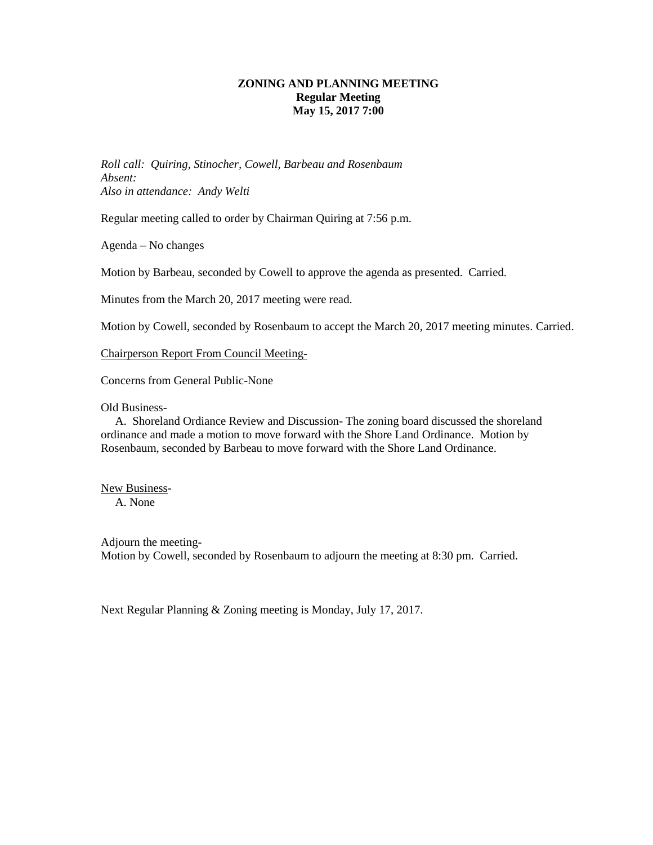### **ZONING AND PLANNING MEETING Regular Meeting May 15, 2017 7:00**

*Roll call: Quiring, Stinocher, Cowell, Barbeau and Rosenbaum Absent: Also in attendance: Andy Welti*

Regular meeting called to order by Chairman Quiring at 7:56 p.m.

Agenda – No changes

Motion by Barbeau, seconded by Cowell to approve the agenda as presented. Carried.

Minutes from the March 20, 2017 meeting were read.

Motion by Cowell, seconded by Rosenbaum to accept the March 20, 2017 meeting minutes. Carried.

Chairperson Report From Council Meeting-

Concerns from General Public-None

Old Business-

A. Shoreland Ordiance Review and Discussion- The zoning board discussed the shoreland ordinance and made a motion to move forward with the Shore Land Ordinance. Motion by Rosenbaum, seconded by Barbeau to move forward with the Shore Land Ordinance.

New Business-A. None

Adjourn the meeting-Motion by Cowell, seconded by Rosenbaum to adjourn the meeting at 8:30 pm. Carried.

Next Regular Planning & Zoning meeting is Monday, July 17, 2017.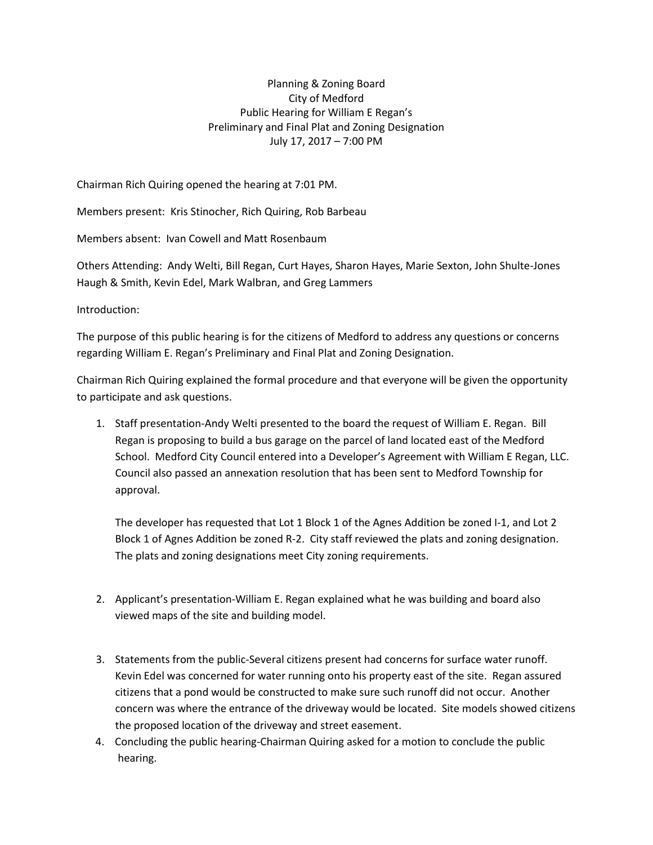Planning & Zoning Board City of Medford Public Hearing for William E Regan's Preliminary and Final Plat and Zoning Designation July 17, 2017 – 7:00 PM

Chairman Rich Quiring opened the hearing at 7:01 PM.

Members present: Kris Stinocher, Rich Quiring, Rob Barbeau

Members absent: Ivan Cowell and Matt Rosenbaum

Others Attending: Andy Welti, Bill Regan, Curt Hayes, Sharon Hayes, Marie Sexton, John Shulte-Jones Haugh & Smith, Kevin Edel, Mark Walbran, and Greg Lammers

Introduction:

The purpose of this public hearing is for the citizens of Medford to address any questions or concerns regarding William E. Regan's Preliminary and Final Plat and Zoning Designation.

Chairman Rich Quiring explained the formal procedure and that everyone will be given the opportunity to participate and ask questions.

1. Staff presentation-Andy Welti presented to the board the request of William E. Regan. Bill Regan is proposing to build a bus garage on the parcel of land located east of the Medford School. Medford City Council entered into a Developer's Agreement with William E Regan, LLC. Council also passed an annexation resolution that has been sent to Medford Township for approval.

The developer has requested that Lot 1 Block 1 of the Agnes Addition be zoned I-1, and Lot 2 Block 1 of Agnes Addition be zoned R-2. City staff reviewed the plats and zoning designation. The plats and zoning designations meet City zoning requirements.

- 2. Applicant's presentation-William E. Regan explained what he was building and board also viewed maps of the site and building model.
- 3. Statements from the public-Several citizens present had concerns for surface water runoff. Kevin Edel was concerned for water running onto his property east of the site. Regan assured citizens that a pond would be constructed to make sure such runoff did not occur. Another concern was where the entrance of the driveway would be located. Site models showed citizens the proposed location of the driveway and street easement.
- 4. Concluding the public hearing-Chairman Quiring asked for a motion to conclude the public hearing.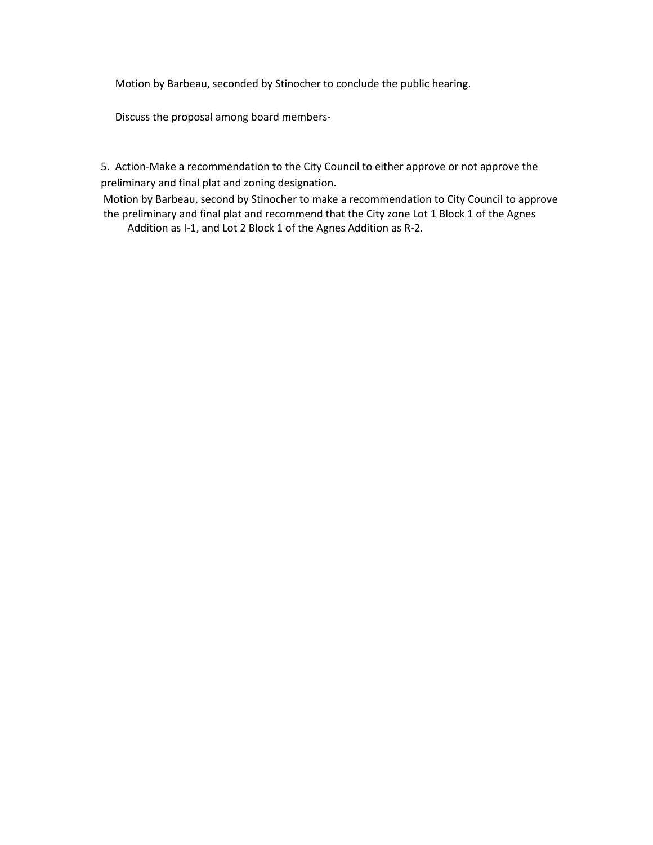Motion by Barbeau, seconded by Stinocher to conclude the public hearing.

Discuss the proposal among board members-

5. Action-Make a recommendation to the City Council to either approve or not approve the preliminary and final plat and zoning designation.

 Motion by Barbeau, second by Stinocher to make a recommendation to City Council to approve the preliminary and final plat and recommend that the City zone Lot 1 Block 1 of the Agnes Addition as I-1, and Lot 2 Block 1 of the Agnes Addition as R-2.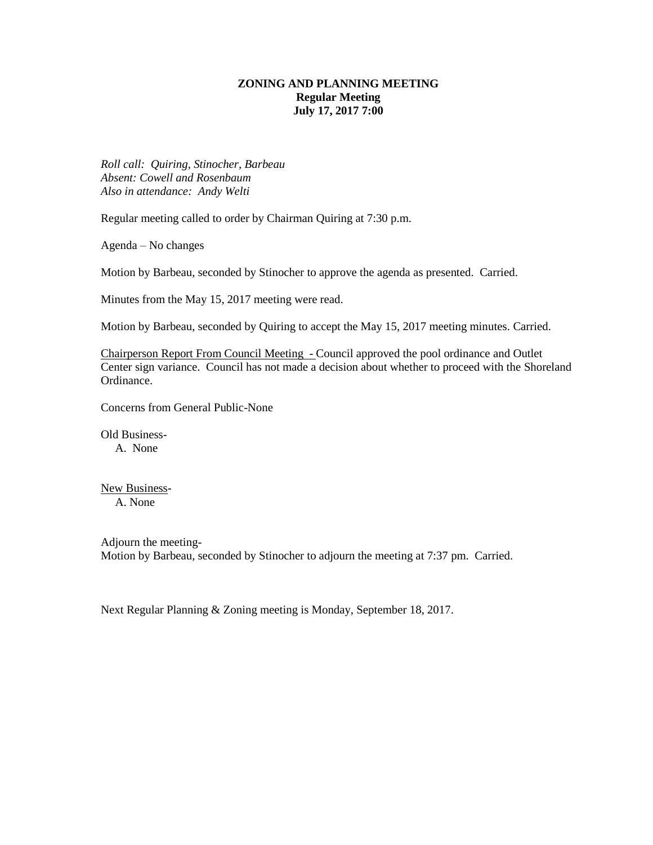### **ZONING AND PLANNING MEETING Regular Meeting July 17, 2017 7:00**

*Roll call: Quiring, Stinocher, Barbeau Absent: Cowell and Rosenbaum Also in attendance: Andy Welti*

Regular meeting called to order by Chairman Quiring at 7:30 p.m.

Agenda – No changes

Motion by Barbeau, seconded by Stinocher to approve the agenda as presented. Carried.

Minutes from the May 15, 2017 meeting were read.

Motion by Barbeau, seconded by Quiring to accept the May 15, 2017 meeting minutes. Carried.

Chairperson Report From Council Meeting - Council approved the pool ordinance and Outlet Center sign variance. Council has not made a decision about whether to proceed with the Shoreland Ordinance.

Concerns from General Public-None

Old Business-A. None

New Business-A. None

Adjourn the meeting-Motion by Barbeau, seconded by Stinocher to adjourn the meeting at 7:37 pm. Carried.

Next Regular Planning & Zoning meeting is Monday, September 18, 2017.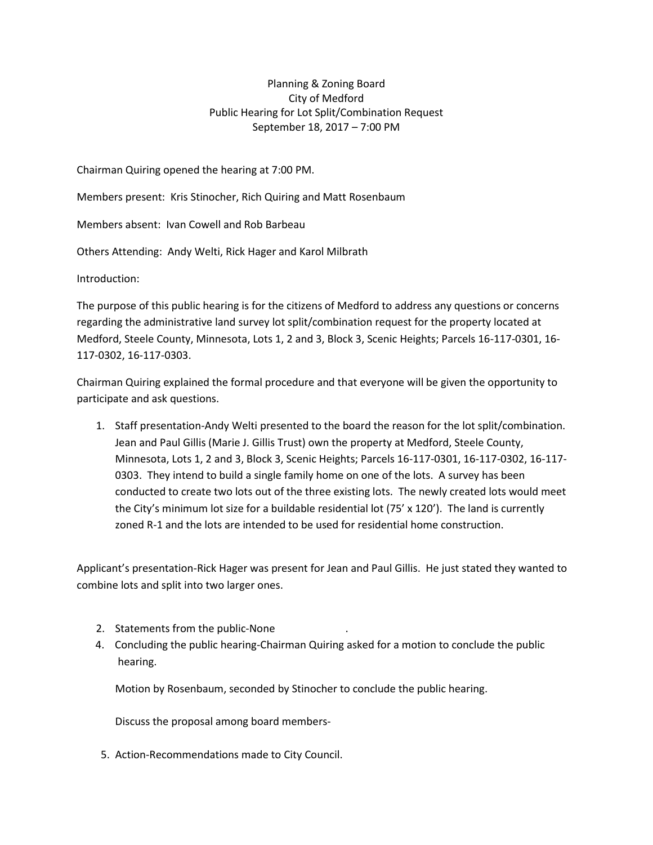# Planning & Zoning Board City of Medford Public Hearing for Lot Split/Combination Request September 18, 2017 – 7:00 PM

Chairman Quiring opened the hearing at 7:00 PM.

Members present: Kris Stinocher, Rich Quiring and Matt Rosenbaum

Members absent: Ivan Cowell and Rob Barbeau

Others Attending: Andy Welti, Rick Hager and Karol Milbrath

Introduction:

The purpose of this public hearing is for the citizens of Medford to address any questions or concerns regarding the administrative land survey lot split/combination request for the property located at Medford, Steele County, Minnesota, Lots 1, 2 and 3, Block 3, Scenic Heights; Parcels 16-117-0301, 16- 117-0302, 16-117-0303.

Chairman Quiring explained the formal procedure and that everyone will be given the opportunity to participate and ask questions.

1. Staff presentation-Andy Welti presented to the board the reason for the lot split/combination. Jean and Paul Gillis (Marie J. Gillis Trust) own the property at Medford, Steele County, Minnesota, Lots 1, 2 and 3, Block 3, Scenic Heights; Parcels 16-117-0301, 16-117-0302, 16-117- 0303. They intend to build a single family home on one of the lots. A survey has been conducted to create two lots out of the three existing lots. The newly created lots would meet the City's minimum lot size for a buildable residential lot (75' x 120'). The land is currently zoned R-1 and the lots are intended to be used for residential home construction.

Applicant's presentation-Rick Hager was present for Jean and Paul Gillis. He just stated they wanted to combine lots and split into two larger ones.

- 2. Statements from the public-None .
- 4. Concluding the public hearing-Chairman Quiring asked for a motion to conclude the public hearing.

Motion by Rosenbaum, seconded by Stinocher to conclude the public hearing.

Discuss the proposal among board members-

5. Action-Recommendations made to City Council.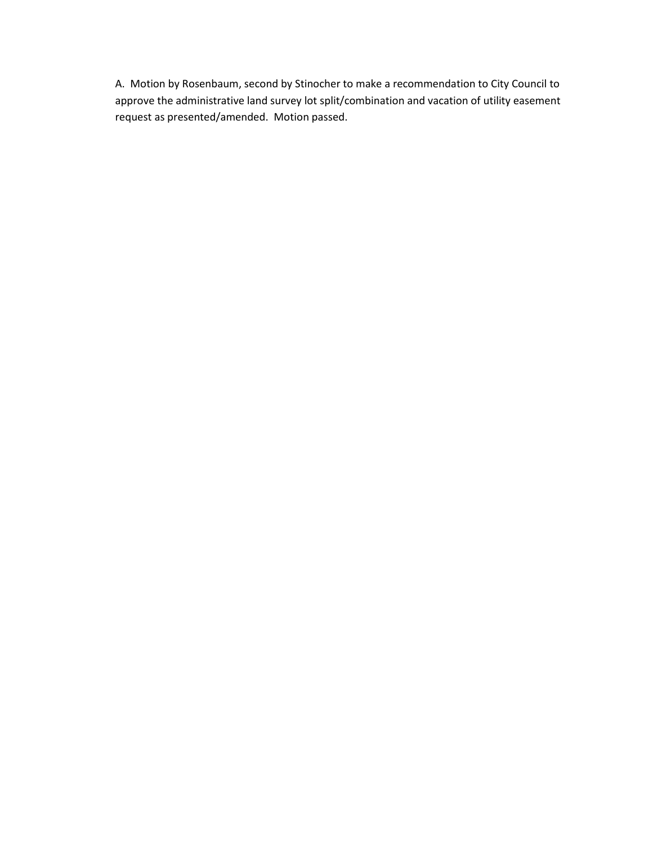A. Motion by Rosenbaum, second by Stinocher to make a recommendation to City Council to approve the administrative land survey lot split/combination and vacation of utility easement request as presented/amended. Motion passed.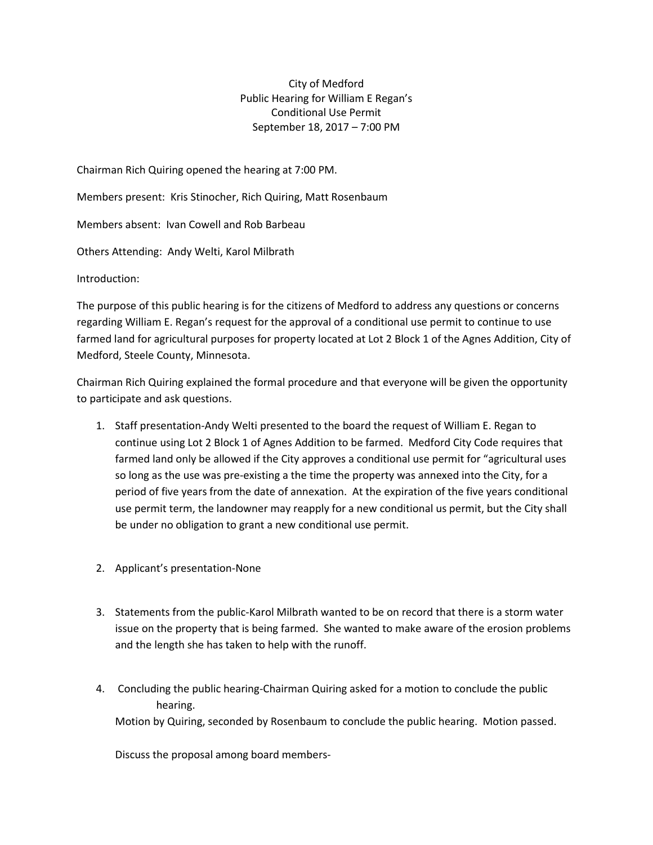City of Medford Public Hearing for William E Regan's Conditional Use Permit September 18, 2017 – 7:00 PM

Chairman Rich Quiring opened the hearing at 7:00 PM.

Members present: Kris Stinocher, Rich Quiring, Matt Rosenbaum

Members absent: Ivan Cowell and Rob Barbeau

Others Attending: Andy Welti, Karol Milbrath

Introduction:

The purpose of this public hearing is for the citizens of Medford to address any questions or concerns regarding William E. Regan's request for the approval of a conditional use permit to continue to use farmed land for agricultural purposes for property located at Lot 2 Block 1 of the Agnes Addition, City of Medford, Steele County, Minnesota.

Chairman Rich Quiring explained the formal procedure and that everyone will be given the opportunity to participate and ask questions.

- 1. Staff presentation-Andy Welti presented to the board the request of William E. Regan to continue using Lot 2 Block 1 of Agnes Addition to be farmed. Medford City Code requires that farmed land only be allowed if the City approves a conditional use permit for "agricultural uses so long as the use was pre-existing a the time the property was annexed into the City, for a period of five years from the date of annexation. At the expiration of the five years conditional use permit term, the landowner may reapply for a new conditional us permit, but the City shall be under no obligation to grant a new conditional use permit.
- 2. Applicant's presentation-None
- 3. Statements from the public-Karol Milbrath wanted to be on record that there is a storm water issue on the property that is being farmed. She wanted to make aware of the erosion problems and the length she has taken to help with the runoff.
- 4. Concluding the public hearing-Chairman Quiring asked for a motion to conclude the public hearing.

Motion by Quiring, seconded by Rosenbaum to conclude the public hearing. Motion passed.

Discuss the proposal among board members-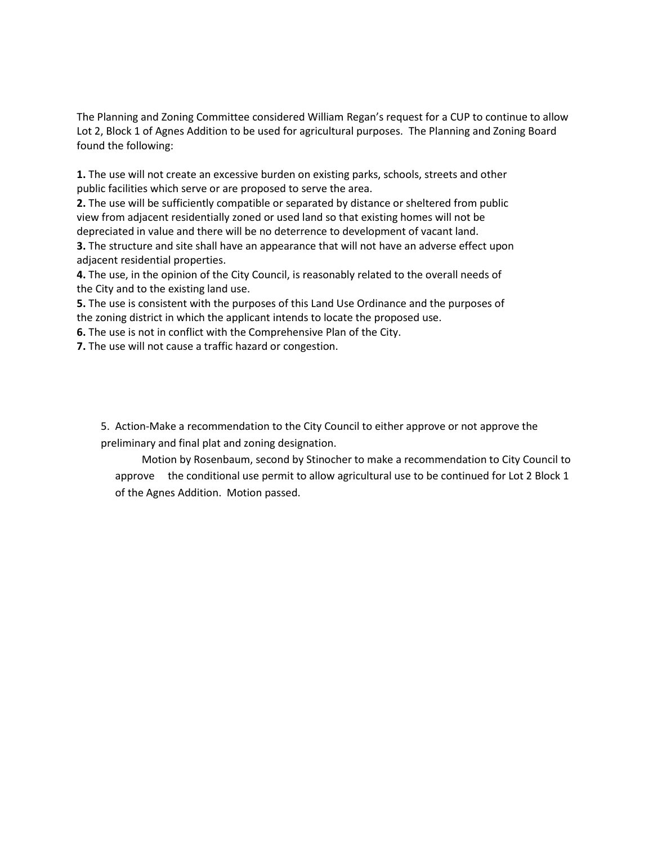The Planning and Zoning Committee considered William Regan's request for a CUP to continue to allow Lot 2, Block 1 of Agnes Addition to be used for agricultural purposes. The Planning and Zoning Board found the following:

**1.** The use will not create an excessive burden on existing parks, schools, streets and other public facilities which serve or are proposed to serve the area.

**2.** The use will be sufficiently compatible or separated by distance or sheltered from public view from adjacent residentially zoned or used land so that existing homes will not be depreciated in value and there will be no deterrence to development of vacant land.

**3.** The structure and site shall have an appearance that will not have an adverse effect upon adjacent residential properties.

**4.** The use, in the opinion of the City Council, is reasonably related to the overall needs of the City and to the existing land use.

**5.** The use is consistent with the purposes of this Land Use Ordinance and the purposes of the zoning district in which the applicant intends to locate the proposed use.

**6.** The use is not in conflict with the Comprehensive Plan of the City.

**7.** The use will not cause a traffic hazard or congestion.

5. Action-Make a recommendation to the City Council to either approve or not approve the preliminary and final plat and zoning designation.

 Motion by Rosenbaum, second by Stinocher to make a recommendation to City Council to approve the conditional use permit to allow agricultural use to be continued for Lot 2 Block 1 of the Agnes Addition. Motion passed.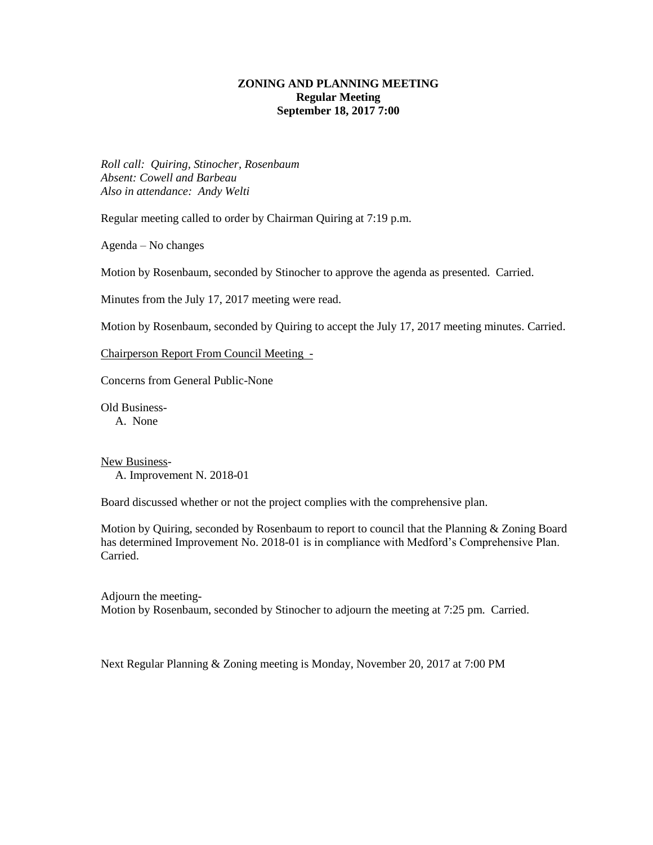### **ZONING AND PLANNING MEETING Regular Meeting September 18, 2017 7:00**

*Roll call: Quiring, Stinocher, Rosenbaum Absent: Cowell and Barbeau Also in attendance: Andy Welti*

Regular meeting called to order by Chairman Quiring at 7:19 p.m.

Agenda – No changes

Motion by Rosenbaum, seconded by Stinocher to approve the agenda as presented. Carried.

Minutes from the July 17, 2017 meeting were read.

Motion by Rosenbaum, seconded by Quiring to accept the July 17, 2017 meeting minutes. Carried.

Chairperson Report From Council Meeting -

Concerns from General Public-None

Old Business-A. None

New Business-A. Improvement N. 2018-01

Board discussed whether or not the project complies with the comprehensive plan.

Motion by Quiring, seconded by Rosenbaum to report to council that the Planning & Zoning Board has determined Improvement No. 2018-01 is in compliance with Medford's Comprehensive Plan. Carried.

Adjourn the meeting-Motion by Rosenbaum, seconded by Stinocher to adjourn the meeting at 7:25 pm. Carried.

Next Regular Planning & Zoning meeting is Monday, November 20, 2017 at 7:00 PM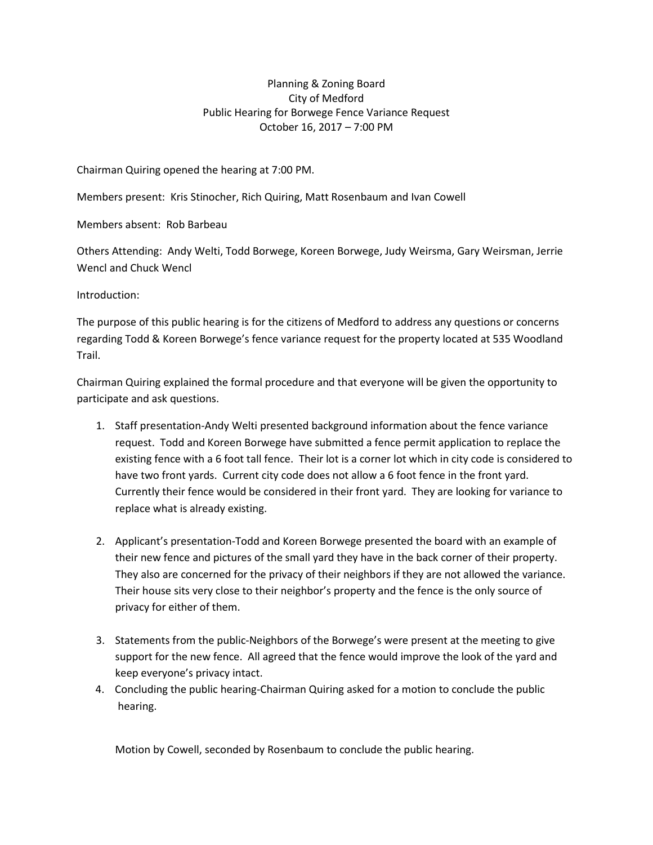### Planning & Zoning Board City of Medford Public Hearing for Borwege Fence Variance Request October 16, 2017 – 7:00 PM

Chairman Quiring opened the hearing at 7:00 PM.

Members present: Kris Stinocher, Rich Quiring, Matt Rosenbaum and Ivan Cowell

Members absent: Rob Barbeau

Others Attending: Andy Welti, Todd Borwege, Koreen Borwege, Judy Weirsma, Gary Weirsman, Jerrie Wencl and Chuck Wencl

### Introduction:

The purpose of this public hearing is for the citizens of Medford to address any questions or concerns regarding Todd & Koreen Borwege's fence variance request for the property located at 535 Woodland Trail.

Chairman Quiring explained the formal procedure and that everyone will be given the opportunity to participate and ask questions.

- 1. Staff presentation-Andy Welti presented background information about the fence variance request. Todd and Koreen Borwege have submitted a fence permit application to replace the existing fence with a 6 foot tall fence. Their lot is a corner lot which in city code is considered to have two front yards. Current city code does not allow a 6 foot fence in the front yard. Currently their fence would be considered in their front yard. They are looking for variance to replace what is already existing.
- 2. Applicant's presentation-Todd and Koreen Borwege presented the board with an example of their new fence and pictures of the small yard they have in the back corner of their property. They also are concerned for the privacy of their neighbors if they are not allowed the variance. Their house sits very close to their neighbor's property and the fence is the only source of privacy for either of them.
- 3. Statements from the public-Neighbors of the Borwege's were present at the meeting to give support for the new fence. All agreed that the fence would improve the look of the yard and keep everyone's privacy intact.
- 4. Concluding the public hearing-Chairman Quiring asked for a motion to conclude the public hearing.

Motion by Cowell, seconded by Rosenbaum to conclude the public hearing.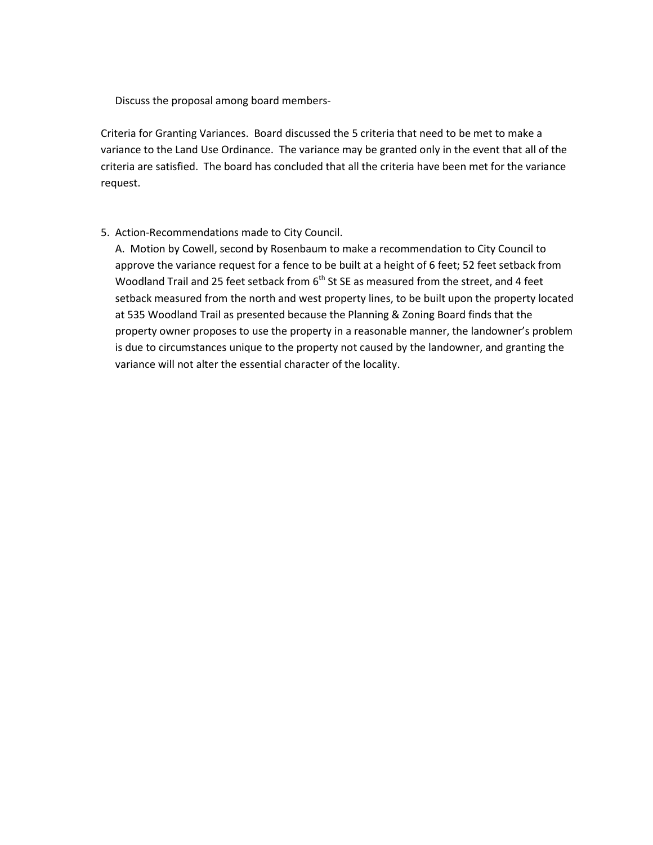Discuss the proposal among board members-

Criteria for Granting Variances. Board discussed the 5 criteria that need to be met to make a variance to the Land Use Ordinance. The variance may be granted only in the event that all of the criteria are satisfied. The board has concluded that all the criteria have been met for the variance request.

### 5. Action-Recommendations made to City Council.

A. Motion by Cowell, second by Rosenbaum to make a recommendation to City Council to approve the variance request for a fence to be built at a height of 6 feet; 52 feet setback from Woodland Trail and 25 feet setback from  $6<sup>th</sup>$  St SE as measured from the street, and 4 feet setback measured from the north and west property lines, to be built upon the property located at 535 Woodland Trail as presented because the Planning & Zoning Board finds that the property owner proposes to use the property in a reasonable manner, the landowner's problem is due to circumstances unique to the property not caused by the landowner, and granting the variance will not alter the essential character of the locality.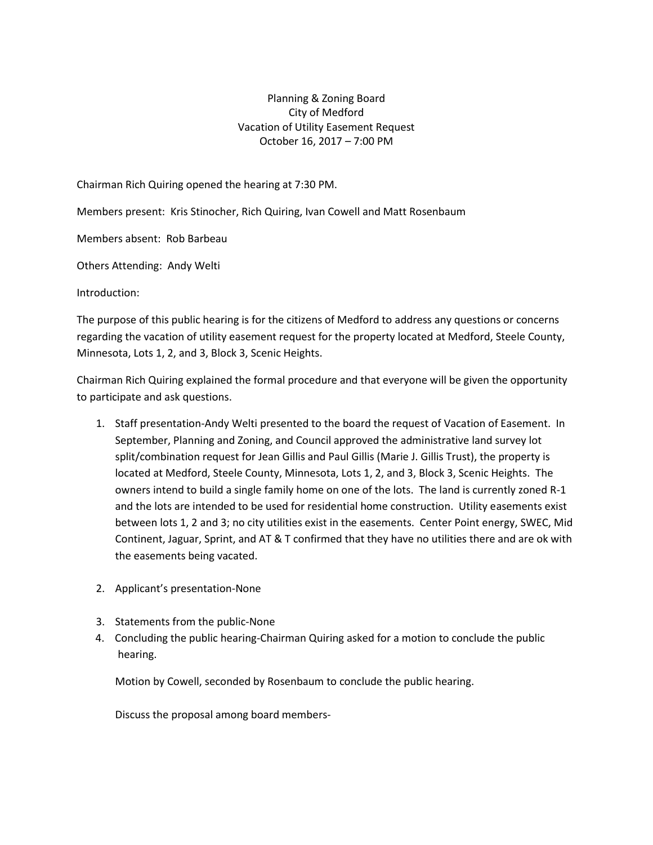# Planning & Zoning Board City of Medford Vacation of Utility Easement Request October 16, 2017 – 7:00 PM

Chairman Rich Quiring opened the hearing at 7:30 PM.

Members present: Kris Stinocher, Rich Quiring, Ivan Cowell and Matt Rosenbaum

Members absent: Rob Barbeau

Others Attending: Andy Welti

Introduction:

The purpose of this public hearing is for the citizens of Medford to address any questions or concerns regarding the vacation of utility easement request for the property located at Medford, Steele County, Minnesota, Lots 1, 2, and 3, Block 3, Scenic Heights.

Chairman Rich Quiring explained the formal procedure and that everyone will be given the opportunity to participate and ask questions.

- 1. Staff presentation-Andy Welti presented to the board the request of Vacation of Easement. In September, Planning and Zoning, and Council approved the administrative land survey lot split/combination request for Jean Gillis and Paul Gillis (Marie J. Gillis Trust), the property is located at Medford, Steele County, Minnesota, Lots 1, 2, and 3, Block 3, Scenic Heights. The owners intend to build a single family home on one of the lots. The land is currently zoned R-1 and the lots are intended to be used for residential home construction. Utility easements exist between lots 1, 2 and 3; no city utilities exist in the easements. Center Point energy, SWEC, Mid Continent, Jaguar, Sprint, and AT & T confirmed that they have no utilities there and are ok with the easements being vacated.
- 2. Applicant's presentation-None
- 3. Statements from the public-None
- 4. Concluding the public hearing-Chairman Quiring asked for a motion to conclude the public hearing.

Motion by Cowell, seconded by Rosenbaum to conclude the public hearing.

Discuss the proposal among board members-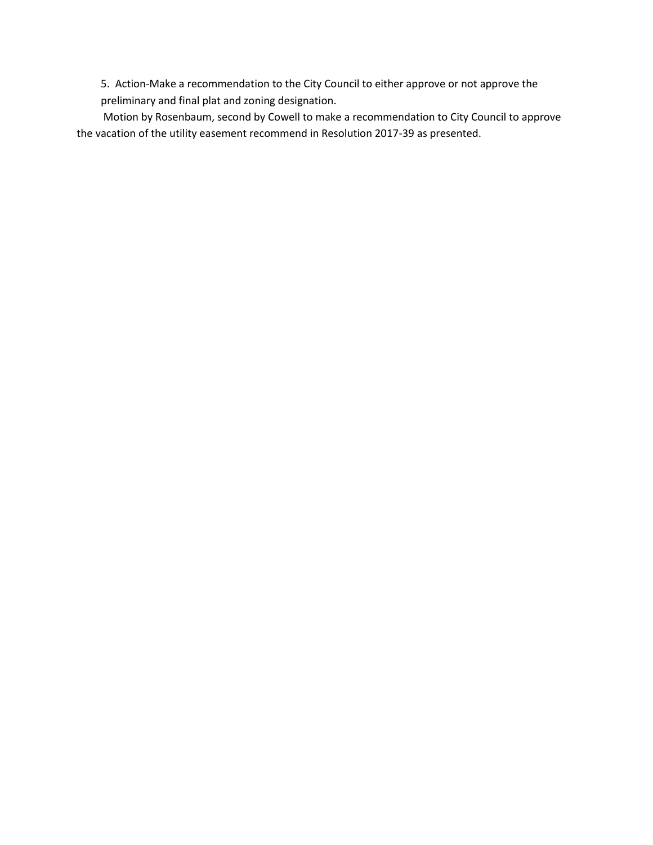5. Action-Make a recommendation to the City Council to either approve or not approve the preliminary and final plat and zoning designation.

 Motion by Rosenbaum, second by Cowell to make a recommendation to City Council to approve the vacation of the utility easement recommend in Resolution 2017-39 as presented.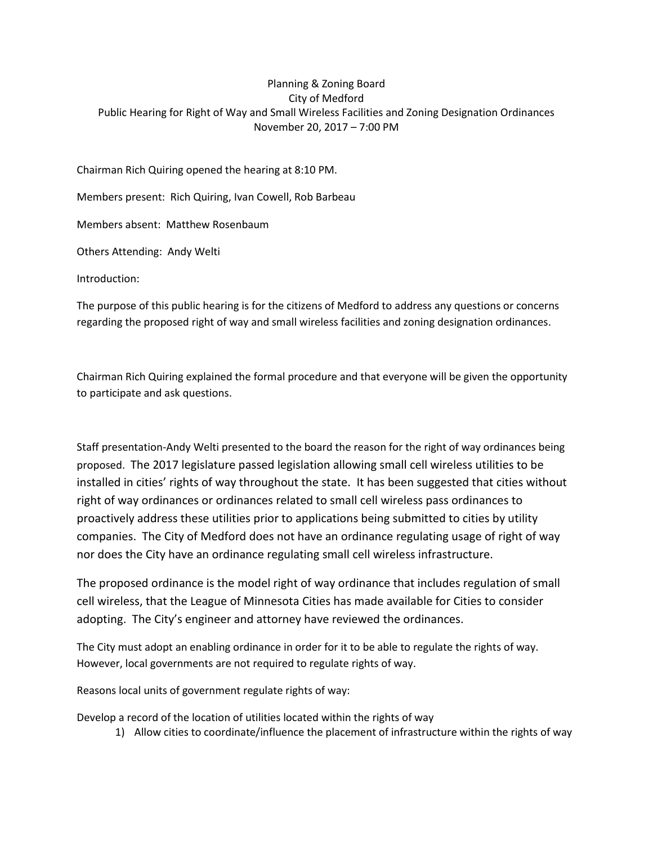### Planning & Zoning Board City of Medford Public Hearing for Right of Way and Small Wireless Facilities and Zoning Designation Ordinances November 20, 2017 – 7:00 PM

Chairman Rich Quiring opened the hearing at 8:10 PM.

Members present: Rich Quiring, Ivan Cowell, Rob Barbeau

Members absent: Matthew Rosenbaum

Others Attending: Andy Welti

Introduction:

The purpose of this public hearing is for the citizens of Medford to address any questions or concerns regarding the proposed right of way and small wireless facilities and zoning designation ordinances.

Chairman Rich Quiring explained the formal procedure and that everyone will be given the opportunity to participate and ask questions.

Staff presentation-Andy Welti presented to the board the reason for the right of way ordinances being proposed. The 2017 legislature passed legislation allowing small cell wireless utilities to be installed in cities' rights of way throughout the state. It has been suggested that cities without right of way ordinances or ordinances related to small cell wireless pass ordinances to proactively address these utilities prior to applications being submitted to cities by utility companies. The City of Medford does not have an ordinance regulating usage of right of way nor does the City have an ordinance regulating small cell wireless infrastructure.

The proposed ordinance is the model right of way ordinance that includes regulation of small cell wireless, that the League of Minnesota Cities has made available for Cities to consider adopting. The City's engineer and attorney have reviewed the ordinances.

The City must adopt an enabling ordinance in order for it to be able to regulate the rights of way. However, local governments are not required to regulate rights of way.

Reasons local units of government regulate rights of way:

Develop a record of the location of utilities located within the rights of way

1) Allow cities to coordinate/influence the placement of infrastructure within the rights of way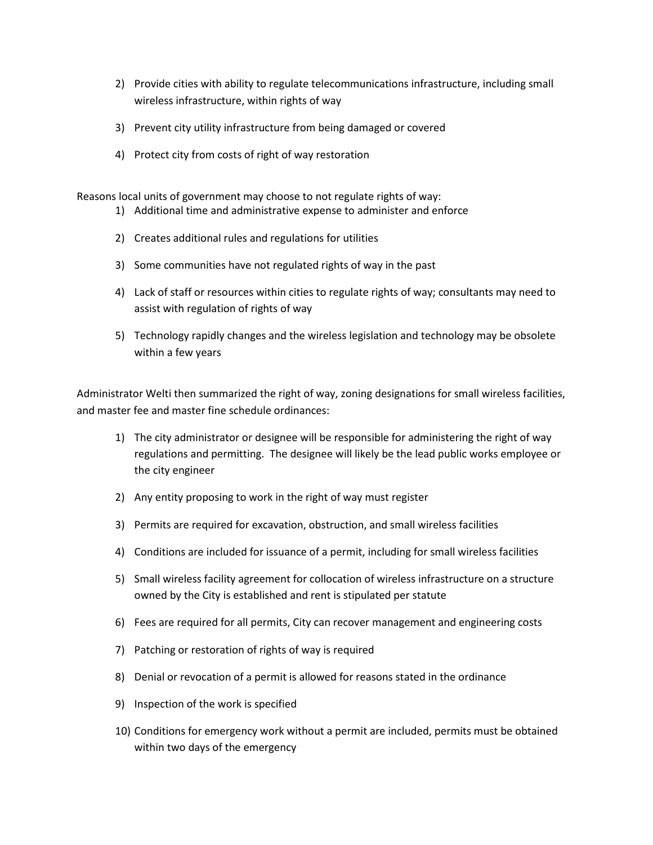- 2) Provide cities with ability to regulate telecommunications infrastructure, including small wireless infrastructure, within rights of way
- 3) Prevent city utility infrastructure from being damaged or covered
- 4) Protect city from costs of right of way restoration

Reasons local units of government may choose to not regulate rights of way:

- 1) Additional time and administrative expense to administer and enforce
- 2) Creates additional rules and regulations for utilities
- 3) Some communities have not regulated rights of way in the past
- 4) Lack of staff or resources within cities to regulate rights of way; consultants may need to assist with regulation of rights of way
- 5) Technology rapidly changes and the wireless legislation and technology may be obsolete within a few years

Administrator Welti then summarized the right of way, zoning designations for small wireless facilities, and master fee and master fine schedule ordinances:

- 1) The city administrator or designee will be responsible for administering the right of way regulations and permitting. The designee will likely be the lead public works employee or the city engineer
- 2) Any entity proposing to work in the right of way must register
- 3) Permits are required for excavation, obstruction, and small wireless facilities
- 4) Conditions are included for issuance of a permit, including for small wireless facilities
- 5) Small wireless facility agreement for collocation of wireless infrastructure on a structure owned by the City is established and rent is stipulated per statute
- 6) Fees are required for all permits, City can recover management and engineering costs
- 7) Patching or restoration of rights of way is required
- 8) Denial or revocation of a permit is allowed for reasons stated in the ordinance
- 9) Inspection of the work is specified
- 10) Conditions for emergency work without a permit are included, permits must be obtained within two days of the emergency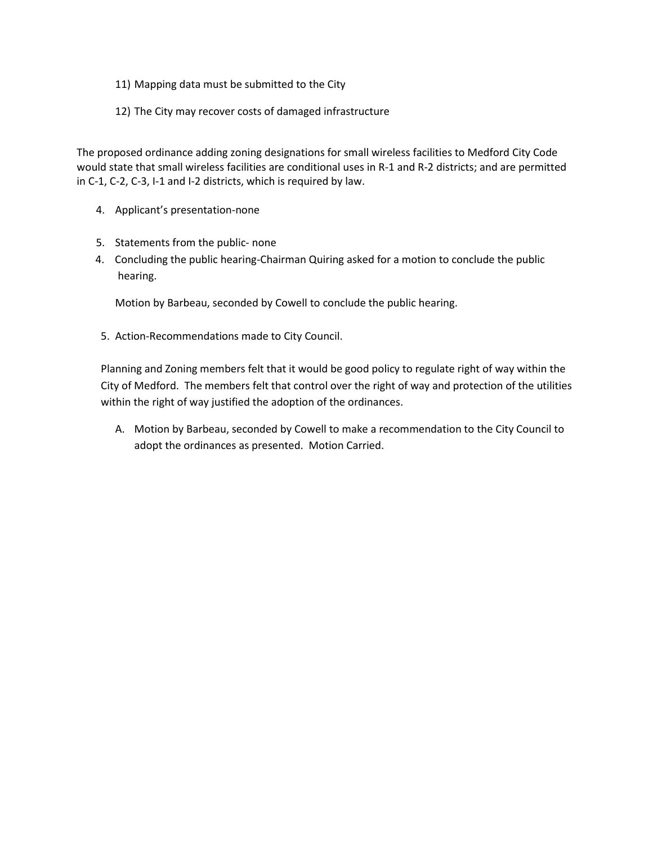- 11) Mapping data must be submitted to the City
- 12) The City may recover costs of damaged infrastructure

The proposed ordinance adding zoning designations for small wireless facilities to Medford City Code would state that small wireless facilities are conditional uses in R-1 and R-2 districts; and are permitted in C-1, C-2, C-3, I-1 and I-2 districts, which is required by law.

- 4. Applicant's presentation-none
- 5. Statements from the public- none
- 4. Concluding the public hearing-Chairman Quiring asked for a motion to conclude the public hearing.

Motion by Barbeau, seconded by Cowell to conclude the public hearing.

5. Action-Recommendations made to City Council.

Planning and Zoning members felt that it would be good policy to regulate right of way within the City of Medford. The members felt that control over the right of way and protection of the utilities within the right of way justified the adoption of the ordinances.

A. Motion by Barbeau, seconded by Cowell to make a recommendation to the City Council to adopt the ordinances as presented. Motion Carried.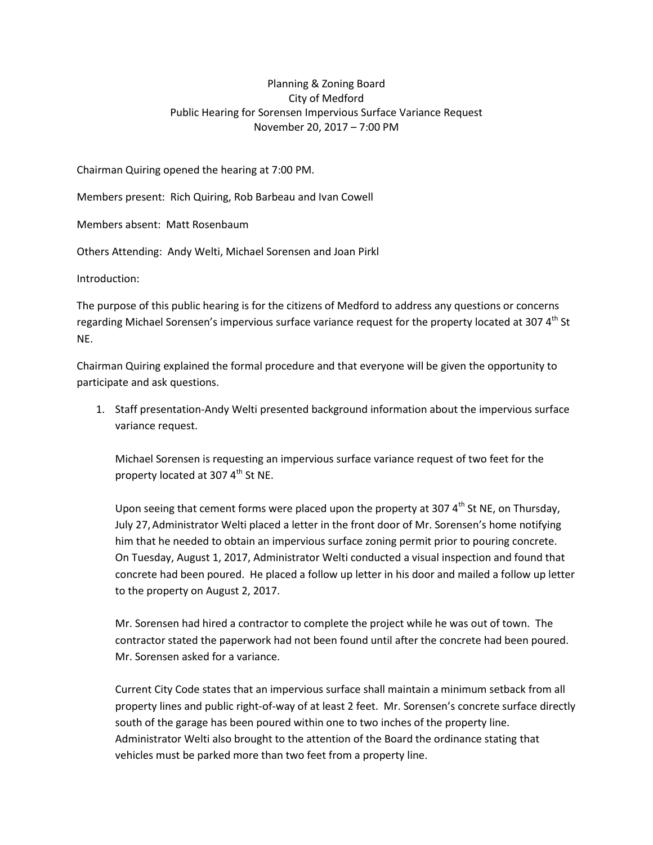## Planning & Zoning Board City of Medford Public Hearing for Sorensen Impervious Surface Variance Request November 20, 2017 – 7:00 PM

Chairman Quiring opened the hearing at 7:00 PM.

Members present: Rich Quiring, Rob Barbeau and Ivan Cowell

Members absent: Matt Rosenbaum

Others Attending: Andy Welti, Michael Sorensen and Joan Pirkl

Introduction:

The purpose of this public hearing is for the citizens of Medford to address any questions or concerns regarding Michael Sorensen's impervious surface variance request for the property located at 307 4<sup>th</sup> St NE.

Chairman Quiring explained the formal procedure and that everyone will be given the opportunity to participate and ask questions.

1. Staff presentation-Andy Welti presented background information about the impervious surface variance request.

Michael Sorensen is requesting an impervious surface variance request of two feet for the property located at 307  $4^{\text{th}}$  St NE.

Upon seeing that cement forms were placed upon the property at 307  $4<sup>th</sup>$  St NE, on Thursday, July 27,Administrator Welti placed a letter in the front door of Mr. Sorensen's home notifying him that he needed to obtain an impervious surface zoning permit prior to pouring concrete. On Tuesday, August 1, 2017, Administrator Welti conducted a visual inspection and found that concrete had been poured. He placed a follow up letter in his door and mailed a follow up letter to the property on August 2, 2017.

Mr. Sorensen had hired a contractor to complete the project while he was out of town. The contractor stated the paperwork had not been found until after the concrete had been poured. Mr. Sorensen asked for a variance.

Current City Code states that an impervious surface shall maintain a minimum setback from all property lines and public right-of-way of at least 2 feet. Mr. Sorensen's concrete surface directly south of the garage has been poured within one to two inches of the property line. Administrator Welti also brought to the attention of the Board the ordinance stating that vehicles must be parked more than two feet from a property line.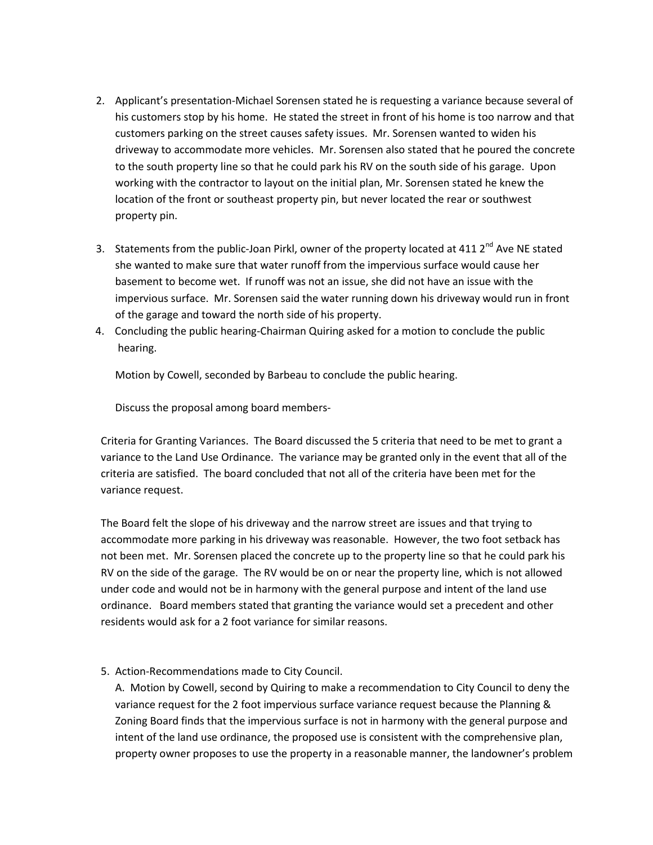- 2. Applicant's presentation-Michael Sorensen stated he is requesting a variance because several of his customers stop by his home. He stated the street in front of his home is too narrow and that customers parking on the street causes safety issues. Mr. Sorensen wanted to widen his driveway to accommodate more vehicles. Mr. Sorensen also stated that he poured the concrete to the south property line so that he could park his RV on the south side of his garage. Upon working with the contractor to layout on the initial plan, Mr. Sorensen stated he knew the location of the front or southeast property pin, but never located the rear or southwest property pin.
- 3. Statements from the public-Joan Pirkl, owner of the property located at 411  $2^{nd}$  Ave NE stated she wanted to make sure that water runoff from the impervious surface would cause her basement to become wet. If runoff was not an issue, she did not have an issue with the impervious surface. Mr. Sorensen said the water running down his driveway would run in front of the garage and toward the north side of his property.
- 4. Concluding the public hearing-Chairman Quiring asked for a motion to conclude the public hearing.

Motion by Cowell, seconded by Barbeau to conclude the public hearing.

Discuss the proposal among board members-

Criteria for Granting Variances. The Board discussed the 5 criteria that need to be met to grant a variance to the Land Use Ordinance. The variance may be granted only in the event that all of the criteria are satisfied. The board concluded that not all of the criteria have been met for the variance request.

The Board felt the slope of his driveway and the narrow street are issues and that trying to accommodate more parking in his driveway was reasonable. However, the two foot setback has not been met. Mr. Sorensen placed the concrete up to the property line so that he could park his RV on the side of the garage. The RV would be on or near the property line, which is not allowed under code and would not be in harmony with the general purpose and intent of the land use ordinance. Board members stated that granting the variance would set a precedent and other residents would ask for a 2 foot variance for similar reasons.

5. Action-Recommendations made to City Council.

A. Motion by Cowell, second by Quiring to make a recommendation to City Council to deny the variance request for the 2 foot impervious surface variance request because the Planning & Zoning Board finds that the impervious surface is not in harmony with the general purpose and intent of the land use ordinance, the proposed use is consistent with the comprehensive plan, property owner proposes to use the property in a reasonable manner, the landowner's problem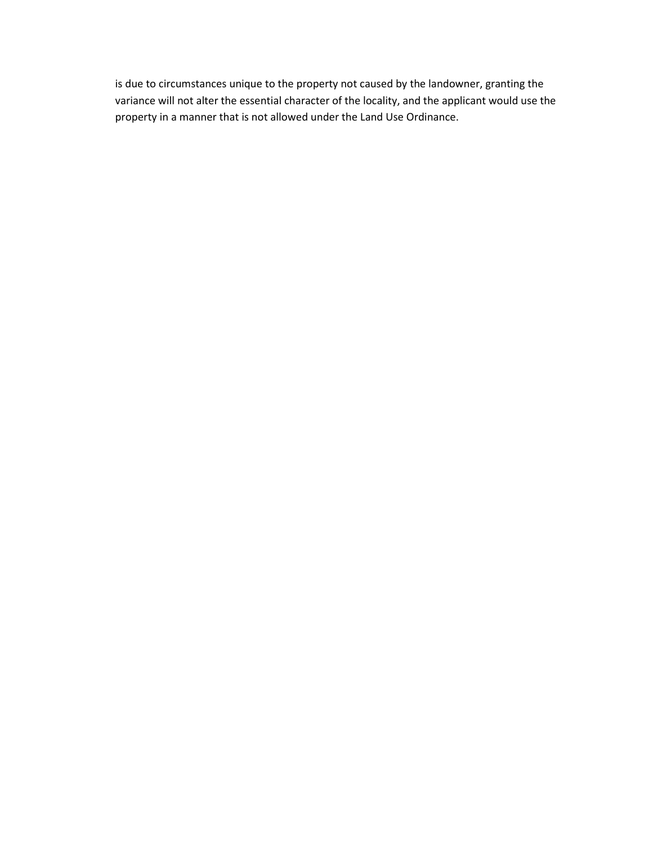is due to circumstances unique to the property not caused by the landowner, granting the variance will not alter the essential character of the locality, and the applicant would use the property in a manner that is not allowed under the Land Use Ordinance.